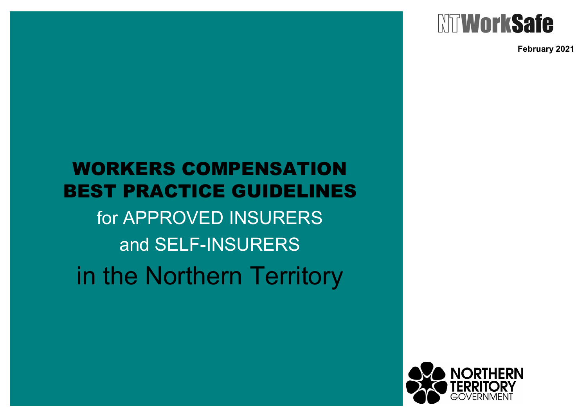

**February 2021**

# WORKERS COMPENSATION BEST PRACTICE GUIDELINES

for APPROVED INSURERS and SELF-INSURERS

in the Northern Territory

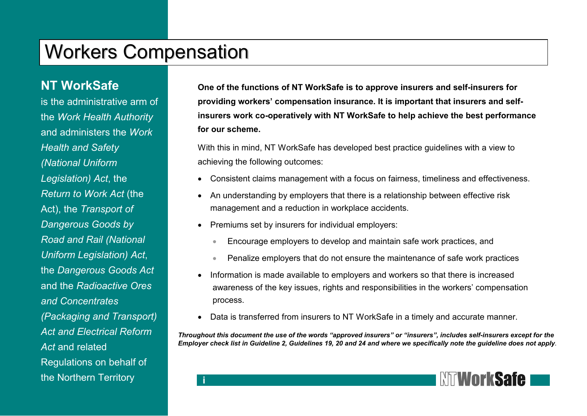## Workers Compensation

#### **NT WorkSafe**

is the administrative arm of the *Work Health Authority* and administers the *Work Health and Safety (National Uniform Legislation) Act*, the *Return to Work Act* (the Act), the *Transport of Dangerous Goods by Road and Rail (National Uniform Legislation) Act*, the *Dangerous Goods Act* and the *Radioactive Ores and Concentrates (Packaging and Transport) Act and Electrical Reform* Act and related Regulations on behalf of the Northern Territory

**One of the functions of NT WorkSafe is to approve insurers and self-insurers for providing workers' compensation insurance. It is important that insurers and selfinsurers work co-operatively with NT WorkSafe to help achieve the best performance for our scheme.** 

With this in mind, NT WorkSafe has developed best practice guidelines with a view to achieving the following outcomes:

- Consistent claims management with a focus on fairness, timeliness and effectiveness.
- An understanding by employers that there is a relationship between effective risk management and a reduction in workplace accidents.
- Premiums set by insurers for individual employers:

**i** 

- Encourage employers to develop and maintain safe work practices, and
- Penalize employers that do not ensure the maintenance of safe work practices
- Information is made available to employers and workers so that there is increased awareness of the key issues, rights and responsibilities in the workers' compensation process.
- Data is transferred from insurers to NT WorkSafe in a timely and accurate manner.

*Throughout this document the use of the words "approved insurers" or "insurers", includes self-insurers except for the Employer check list in Guideline 2, Guidelines 19, 20 and 24 and where we specifically note the guideline does not apply.* 

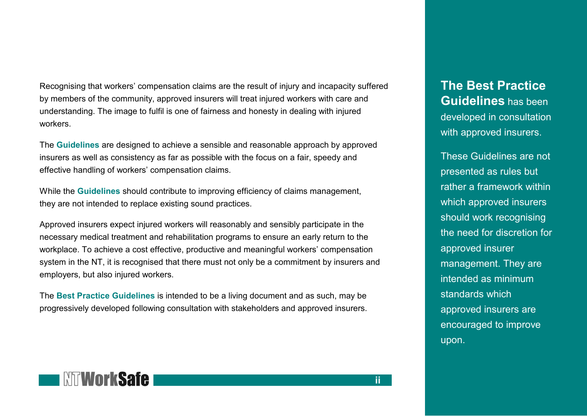Recognising that workers' compensation claims are the result of injury and incapacity suffered by members of the community, approved insurers will treat injured workers with care and understanding. The image to fulfil is one of fairness and honesty in dealing with injured workers.

The **Guidelines** are designed to achieve a sensible and reasonable approach by approved insurers as well as consistency as far as possible with the focus on a fair, speedy and effective handling of workers' compensation claims.

While the **Guidelines** should contribute to improving efficiency of claims management, they are not intended to replace existing sound practices.

Approved insurers expect injured workers will reasonably and sensibly participate in the necessary medical treatment and rehabilitation programs to ensure an early return to the workplace. To achieve a cost effective, productive and meaningful workers' compensation system in the NT, it is recognised that there must not only be a commitment by insurers and employers, but also injured workers.

The **Best Practice Guidelines** is intended to be a living document and as such, may be progressively developed following consultation with stakeholders and approved insurers.

**The Best Practice Guidelines** has been developed in consultation with approved insurers.

These Guidelines are not presented as rules but rather a framework within which approved insurers should work recognising the need for discretion for approved insurer management. They are intended as minimum standards which approved insurers are encouraged to improve upon.

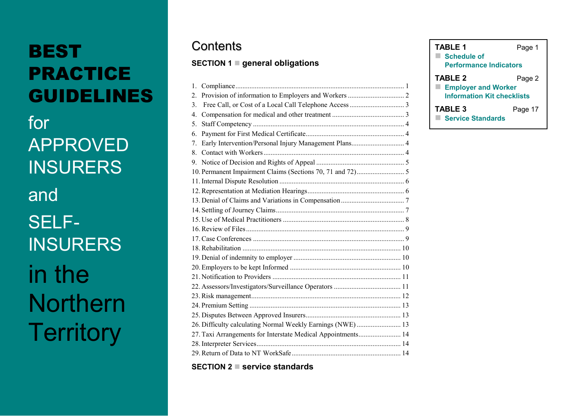# **BEST** PRACTICE GUIDELINES

for APPROVED **INSURERS** and SELF-**INSURERS** in the **Northern Territory** 

### **Contents**

#### **SECTION 1 general obligations**

| $\mathbf{1}$ .                                               |
|--------------------------------------------------------------|
| 2.                                                           |
| 3.                                                           |
| 4.                                                           |
| 5.                                                           |
| 6.                                                           |
| Early Intervention/Personal Injury Management Plans 4<br>7.  |
| 8.                                                           |
| 9.                                                           |
|                                                              |
|                                                              |
|                                                              |
|                                                              |
|                                                              |
|                                                              |
|                                                              |
|                                                              |
|                                                              |
|                                                              |
|                                                              |
|                                                              |
|                                                              |
|                                                              |
|                                                              |
|                                                              |
|                                                              |
| 26. Difficulty calculating Normal Weekly Earnings (NWE) 13   |
| 27. Taxi Arrangements for Interstate Medical Appointments 14 |
|                                                              |
|                                                              |

**SECTION 2 service standards**

| TABLE 1                           | Page 1  |  |  |  |  |  |
|-----------------------------------|---------|--|--|--|--|--|
| <b>Schedule of</b>                |         |  |  |  |  |  |
| <b>Performance Indicators</b>     |         |  |  |  |  |  |
| <b>TABLE 2</b>                    | Page 2  |  |  |  |  |  |
| <b>Employer and Worker</b><br>▀   |         |  |  |  |  |  |
| <b>Information Kit checklists</b> |         |  |  |  |  |  |
| <b>TABLE 3</b>                    | Page 17 |  |  |  |  |  |
| <b>Service Standards</b>          |         |  |  |  |  |  |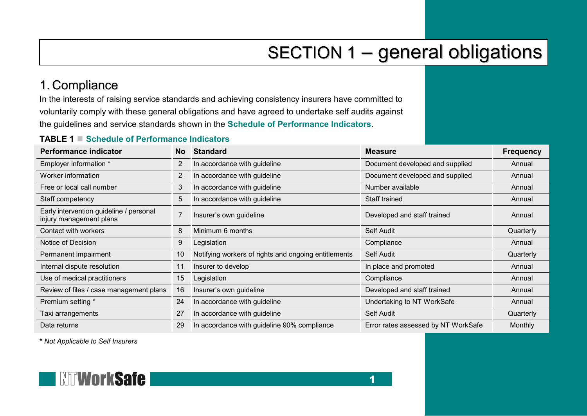# SECTION 1 – general obligations

### <span id="page-4-0"></span>1. Compliance

In the interests of raising service standards and achieving consistency insurers have committed to voluntarily comply with these general obligations and have agreed to undertake self audits against the guidelines and service standards shown in the **Schedule of Performance Indicators**.

#### **TABLE 1 Schedule of Performance Indicators**

| <b>Performance indicator</b>                                       | No.            | <b>Standard</b>                                                 | <b>Measure</b>                      | <b>Frequency</b> |
|--------------------------------------------------------------------|----------------|-----------------------------------------------------------------|-------------------------------------|------------------|
| Employer information *                                             | 2              | In accordance with guideline                                    | Document developed and supplied     | Annual           |
| Worker information                                                 | $\overline{2}$ | In accordance with guideline<br>Document developed and supplied |                                     | Annual           |
| Free or local call number                                          | 3              | In accordance with guideline<br>Number available                |                                     | Annual           |
| Staff competency                                                   | 5              | In accordance with guideline                                    | Staff trained                       | Annual           |
| Early intervention guideline / personal<br>injury management plans |                | Insurer's own guideline<br>Developed and staff trained          |                                     | Annual           |
| Contact with workers                                               | 8              | Minimum 6 months                                                | Self Audit                          | Quarterly        |
| Notice of Decision                                                 | 9              | Compliance<br>Legislation                                       |                                     | Annual           |
| Permanent impairment                                               | 10             | Notifying workers of rights and ongoing entitlements            | Self Audit                          | Quarterly        |
| Internal dispute resolution                                        | 11             | Insurer to develop                                              | In place and promoted               | Annual           |
| Use of medical practitioners                                       | 15             | Legislation                                                     | Compliance                          | Annual           |
| Review of files / case management plans                            | 16             | Insurer's own guideline                                         | Developed and staff trained         | Annual           |
| Premium setting *                                                  | 24             | In accordance with guideline                                    | Undertaking to NT WorkSafe          | Annual           |
| Taxi arrangements                                                  | 27             | In accordance with guideline                                    | Self Audit                          | Quarterly        |
| Data returns                                                       | 29             | In accordance with guideline 90% compliance                     | Error rates assessed by NT WorkSafe | <b>Monthly</b>   |

**\*** *Not Applicable to Self Insurers*

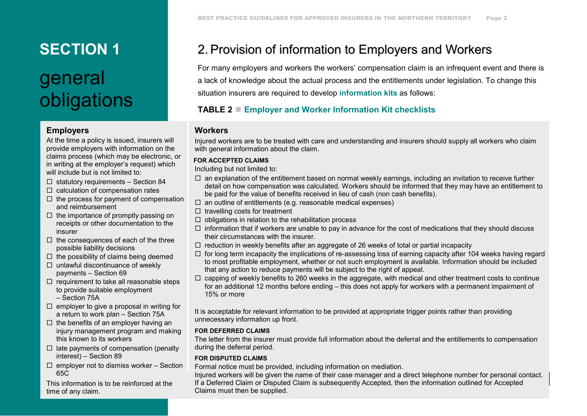# **SECTION 1** general obligations

#### **Employers**

At the time a policy is issued, insurers will provide employers with information on the claims process (which may be electronic, or in writing at the employer's request) which will include but is not limited to:

- $\Box$  statutory requirements Section 84
- $\Box$  calculation of compensation rates
- $\Box$  the process for payment of compensation and reimbursement
- $\Box$  the importance of promptly passing on receipts or other documentation to the insurer
- $\Box$  the consequences of each of the three possible liability decisions
- $\Box$  the possibility of claims being deemed
- $\Box$  unlawful discontinuance of weekly payments – Section 69
- $\Box$  requirement to take all reasonable steps to provide suitable employment – Section 75A
- $\Box$  employer to give a proposal in writing for a return to work plan – Section 75A
- $\Box$  the benefits of an employer having an injury management program and making this known to its workers
- $\Box$  late payments of compensation (penalty interest) – Section 89
- $\Box$  employer not to dismiss worker Section 65C

This information is to be reinforced at the time of any claim.

### <span id="page-5-0"></span>2. Provision of information to Employers and Workers

For many employers and workers the workers' compensation claim is an infrequent event and there is a lack of knowledge about the actual process and the entitlements under legislation. To change this situation insurers are required to develop **information kits** as follows:

#### **TABLE 2 Employer and Worker Information Kit checklists**

#### **Workers**

Injured workers are to be treated with care and understanding and insurers should supply all workers who claim with general information about the claim.

#### **FOR ACCEPTED CLAIMS**

Including but not limited to:

- $\Box$  an explanation of the entitlement based on normal weekly earnings, including an invitation to receive further detail on how compensation was calculated. Workers should be informed that they may have an entitlement to be paid for the value of benefits received in lieu of cash (non cash benefits).
- $\square$  an outline of entitlements (e.g. reasonable medical expenses)
- $\Box$  travelling costs for treatment
- $\Box$  obligations in relation to the rehabilitation process
- $\Box$  information that if workers are unable to pay in advance for the cost of medications that they should discuss their circumstances with the insurer.
- $\Box$  reduction in weekly benefits after an aggregate of 26 weeks of total or partial incapacity
- $\Box$  for long term incapacity the implications of re-assessing loss of earning capacity after 104 weeks having regard to most profitable employment, whether or not such employment is available. Information should be included that any action to reduce payments will be subject to the right of appeal.
- $\Box$  capping of weekly benefits to 260 weeks in the aggregate, with medical and other treatment costs to continue for an additional 12 months before ending – this does not apply for workers with a permanent impairment of 15% or more

It is acceptable for relevant information to be provided at appropriate trigger points rather than providing unnecessary information up front.

#### **FOR DEFERRED CLAIMS**

The letter from the insurer must provide full information about the deferral and the entitlements to compensation during the deferral period.

#### **FOR DISPUTED CLAIMS**

Formal notice must be provided, including information on mediation.

If a Deferred Claim or Disputed Claim is subsequently Accepted, then the information outlined for Accepted If a Deferred Claim or Disputed Claim is subsequently Accepted, then the information outlined for Accepted Injured workers will be given the name of their case manager and a direct telephone number for personal contact. Claims must then be supplied.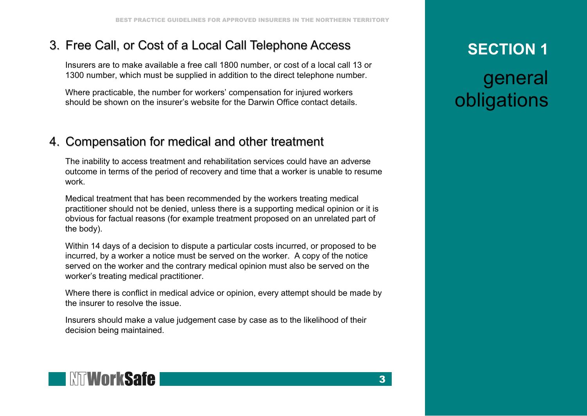### <span id="page-6-0"></span>3. Free Call, or Cost of a Local Call Telephone Access

Insurers are to make available a free call 1800 number, or cost of a local call 13 or 1300 number, which must be supplied in addition to the direct telephone number.

Where practicable, the number for workers' compensation for injured workers should be shown on the insurer's website for the Darwin Office contact details.

#### <span id="page-6-1"></span>4. Compensation for medical and other treatment

The inability to access treatment and rehabilitation services could have an adverse outcome in terms of the period of recovery and time that a worker is unable to resume work.

Medical treatment that has been recommended by the workers treating medical practitioner should not be denied, unless there is a supporting medical opinion or it is obvious for factual reasons (for example treatment proposed on an unrelated part of the body).

Within 14 days of a decision to dispute a particular costs incurred, or proposed to be incurred, by a worker a notice must be served on the worker. A copy of the notice served on the worker and the contrary medical opinion must also be served on the worker's treating medical practitioner.

Where there is conflict in medical advice or opinion, every attempt should be made by the insurer to resolve the issue.

Insurers should make a value judgement case by case as to the likelihood of their decision being maintained.

## **SECTION 1**

general obligations

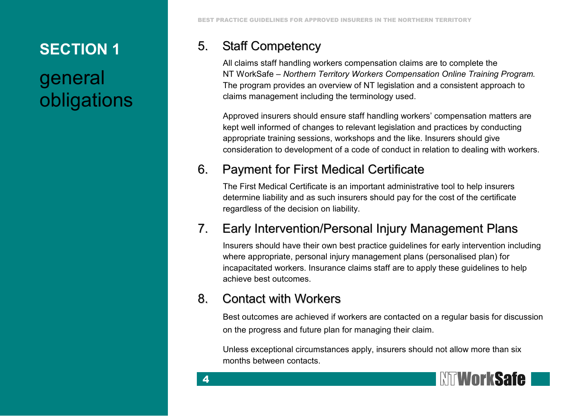# general obligations

BEST PRACTICE GUIDELINES FOR APPROVED INSURERS IN THE NORTHERN TERRITORY

#### 5. Staff Competency

<span id="page-7-0"></span>All claims staff handling workers compensation claims are to complete the NT WorkSafe – *Northern Territory Workers Compensation Online Training Program.*  The program provides an overview of NT legislation and a consistent approach to claims management including the terminology used.

Approved insurers should ensure staff handling workers' compensation matters are kept well informed of changes to relevant legislation and practices by conducting appropriate training sessions, workshops and the like. Insurers should give consideration to development of a code of conduct in relation to dealing with workers.

#### <span id="page-7-1"></span>6. Payment for First Medical Certificate

The First Medical Certificate is an important administrative tool to help insurers determine liability and as such insurers should pay for the cost of the certificate regardless of the decision on liability.

### <span id="page-7-2"></span>7. Early Intervention/Personal Injury Management Plans

Insurers should have their own best practice guidelines for early intervention including where appropriate, personal injury management plans (personalised plan) for incapacitated workers. Insurance claims staff are to apply these guidelines to help achieve best outcomes.

#### <span id="page-7-3"></span>8. Contact with Workers

4

Best outcomes are achieved if workers are contacted on a regular basis for discussion on the progress and future plan for managing their claim.

Unless exceptional circumstances apply, insurers should not allow more than six months between contacts.

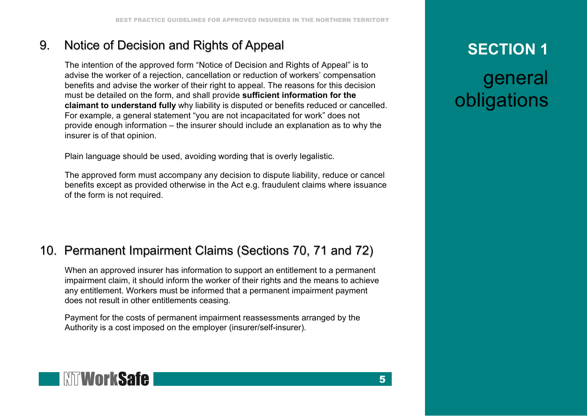### 9. Notice of Decision and Rights of Appeal

<span id="page-8-0"></span>The intention of the approved form "Notice of Decision and Rights of Appeal" is to advise the worker of a rejection, cancellation or reduction of workers' compensation benefits and advise the worker of their right to appeal. The reasons for this decision must be detailed on the form, and shall provide **sufficient information for the claimant to understand fully** why liability is disputed or benefits reduced or cancelled. For example, a general statement "you are not incapacitated for work" does not provide enough information – the insurer should include an explanation as to why the insurer is of that opinion.

Plain language should be used, avoiding wording that is overly legalistic.

The approved form must accompany any decision to dispute liability, reduce or cancel benefits except as provided otherwise in the Act e.g. fraudulent claims where issuance of the form is not required.

### <span id="page-8-1"></span>10. Permanent Impairment Claims (Sections 70, 71 and 72)

When an approved insurer has information to support an entitlement to a permanent impairment claim, it should inform the worker of their rights and the means to achieve any entitlement. Workers must be informed that a permanent impairment payment does not result in other entitlements ceasing.

Payment for the costs of permanent impairment reassessments arranged by the Authority is a cost imposed on the employer (insurer/self-insurer).

## **SECTION 1**

general obligations

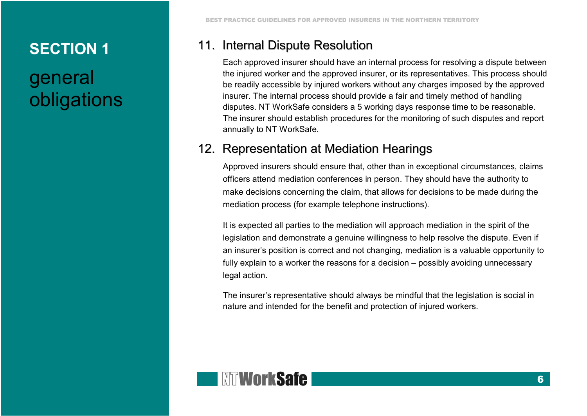# general obligations

### 11. Internal Dispute Resolution

<span id="page-9-0"></span>Each approved insurer should have an internal process for resolving a dispute between the injured worker and the approved insurer, or its representatives. This process should be readily accessible by injured workers without any charges imposed by the approved insurer. The internal process should provide a fair and timely method of handling disputes. NT WorkSafe considers a 5 working days response time to be reasonable. The insurer should establish procedures for the monitoring of such disputes and report annually to NT WorkSafe.

#### <span id="page-9-1"></span>12. Representation at Mediation Hearings

Approved insurers should ensure that, other than in exceptional circumstances, claims officers attend mediation conferences in person. They should have the authority to make decisions concerning the claim, that allows for decisions to be made during the mediation process (for example telephone instructions).

It is expected all parties to the mediation will approach mediation in the spirit of the legislation and demonstrate a genuine willingness to help resolve the dispute. Even if an insurer's position is correct and not changing, mediation is a valuable opportunity to fully explain to a worker the reasons for a decision – possibly avoiding unnecessary legal action.

The insurer's representative should always be mindful that the legislation is social in nature and intended for the benefit and protection of injured workers.

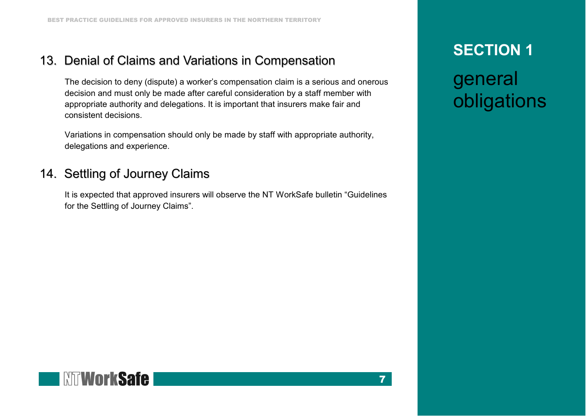#### <span id="page-10-0"></span>13. Denial of Claims and Variations in Compensation

The decision to deny (dispute) a worker's compensation claim is a serious and onerous decision and must only be made after careful consideration by a staff member with appropriate authority and delegations. It is important that insurers make fair and consistent decisions.

Variations in compensation should only be made by staff with appropriate authority, delegations and experience.

### <span id="page-10-1"></span>14. Settling of Journey Claims

It is expected that approved insurers will observe the NT WorkSafe bulletin "Guidelines for the Settling of Journey Claims".

### **SECTION 1**

general obligations

7

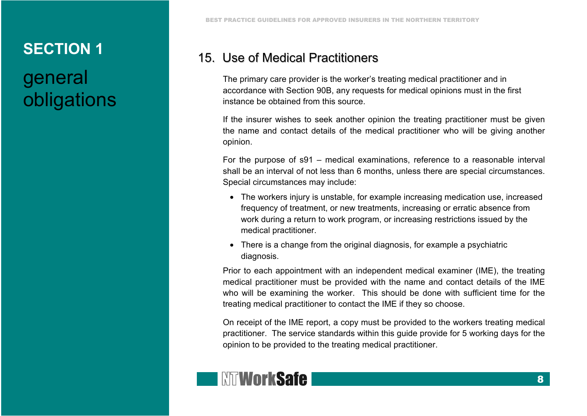# general obligations

#### <span id="page-11-0"></span>15. Use of Medical Practitioners

The primary care provider is the worker's treating medical practitioner and in accordance with Section 90B, any requests for medical opinions must in the first instance be obtained from this source.

If the insurer wishes to seek another opinion the treating practitioner must be given the name and contact details of the medical practitioner who will be giving another opinion.

For the purpose of s91 – medical examinations, reference to a reasonable interval shall be an interval of not less than 6 months, unless there are special circumstances. Special circumstances may include:

- The workers injury is unstable, for example increasing medication use, increased frequency of treatment, or new treatments, increasing or erratic absence from work during a return to work program, or increasing restrictions issued by the medical practitioner.
- There is a change from the original diagnosis, for example a psychiatric diagnosis.

Prior to each appointment with an independent medical examiner (IME), the treating medical practitioner must be provided with the name and contact details of the IME who will be examining the worker. This should be done with sufficient time for the treating medical practitioner to contact the IME if they so choose.

On receipt of the IME report, a copy must be provided to the workers treating medical practitioner. The service standards within this guide provide for 5 working days for the opinion to be provided to the treating medical practitioner.

## **I NTWorkSafe**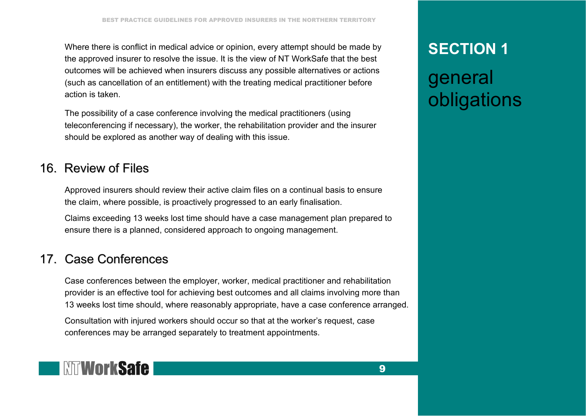<span id="page-12-0"></span>Where there is conflict in medical advice or opinion, every attempt should be made by the approved insurer to resolve the issue. It is the view of NT WorkSafe that the best outcomes will be achieved when insurers discuss any possible alternatives or actions (such as cancellation of an entitlement) with the treating medical practitioner before action is taken.

<span id="page-12-1"></span>The possibility of a case conference involving the medical practitioners (using teleconferencing if necessary), the worker, the rehabilitation provider and the insurer should be explored as another way of dealing with this issue.

#### 16. Review of Files

Approved insurers should review their active claim files on a continual basis to ensure the claim, where possible, is proactively progressed to an early finalisation.

Claims exceeding 13 weeks lost time should have a case management plan prepared to ensure there is a planned, considered approach to ongoing management.

#### 17. Case Conferences

Case conferences between the employer, worker, medical practitioner and rehabilitation provider is an effective tool for achieving best outcomes and all claims involving more than 13 weeks lost time should, where reasonably appropriate, have a case conference arranged.

Consultation with injured workers should occur so that at the worker's request, case conferences may be arranged separately to treatment appointments.

## **WORKSafe**

### **SECTION 1**

# general obligations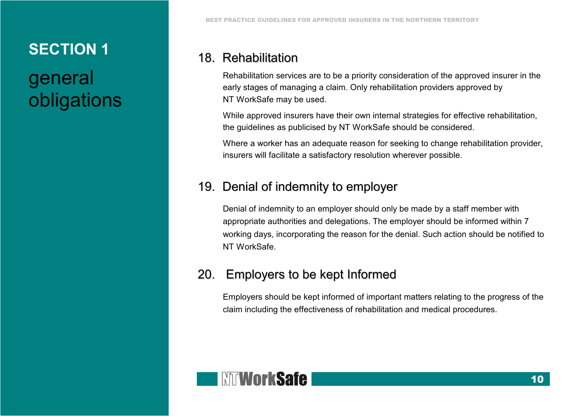# general obligations

#### <span id="page-13-0"></span>18. Rehabilitation

Rehabilitation services are to be a priority consideration of the approved insurer in the early stages of managing a claim. Only rehabilitation providers approved by NT WorkSafe may be used.

While approved insurers have their own internal strategies for effective rehabilitation, the guidelines as publicised by NT WorkSafe should be considered.

Where a worker has an adequate reason for seeking to change rehabilitation provider, insurers will facilitate a satisfactory resolution wherever possible.

#### <span id="page-13-1"></span>19. Denial of indemnity to employer

Denial of indemnity to an employer should only be made by a staff member with appropriate authorities and delegations. The employer should be informed within 7 working days, incorporating the reason for the denial. Such action should be notified to NT WorkSafe.

#### <span id="page-13-2"></span>20. Employers to be kept Informed

Employers should be kept informed of important matters relating to the progress of the claim including the effectiveness of rehabilitation and medical procedures.

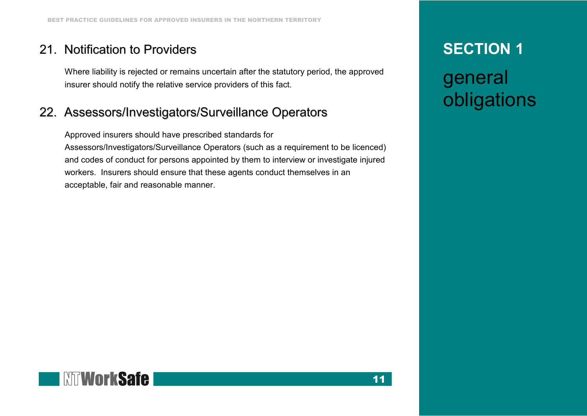#### <span id="page-14-0"></span>21. Notification to Providers

Where liability is rejected or remains uncertain after the statutory period, the approved insurer should notify the relative service providers of this fact.

#### <span id="page-14-1"></span>22. Assessors/Investigators/Surveillance Operators

Approved insurers should have prescribed standards for Assessors/Investigators/Surveillance Operators (such as a requirement to be licenced) and codes of conduct for persons appointed by them to interview or investigate injured workers. Insurers should ensure that these agents conduct themselves in an acceptable, fair and reasonable manner.

### **SECTION 1**

# general obligations

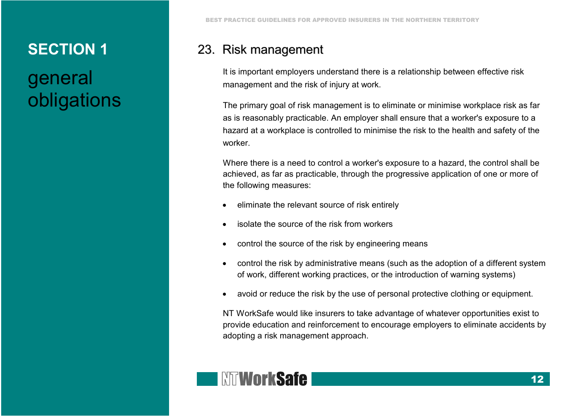# general obligations

#### <span id="page-15-0"></span>23. Risk management

It is important employers understand there is a relationship between effective risk management and the risk of injury at work.

The primary goal of risk management is to eliminate or minimise workplace risk as far as is reasonably practicable. An employer shall ensure that a worker's exposure to a hazard at a workplace is controlled to minimise the risk to the health and safety of the worker.

Where there is a need to control a worker's exposure to a hazard, the control shall be achieved, as far as practicable, through the progressive application of one or more of the following measures:

- eliminate the relevant source of risk entirely
- isolate the source of the risk from workers
- control the source of the risk by engineering means
- control the risk by administrative means (such as the adoption of a different system of work, different working practices, or the introduction of warning systems)
- avoid or reduce the risk by the use of personal protective clothing or equipment.

NT WorkSafe would like insurers to take advantage of whatever opportunities exist to provide education and reinforcement to encourage employers to eliminate accidents by adopting a risk management approach.

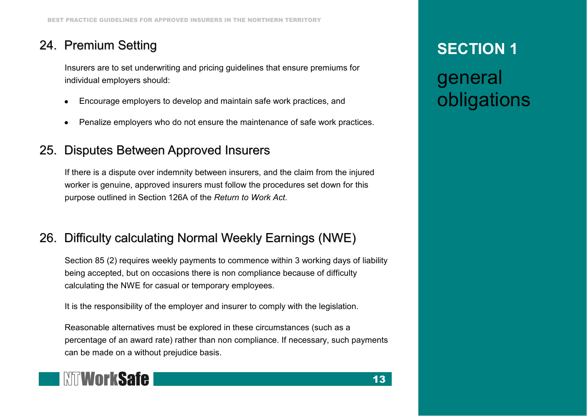### 24. Premium Setting

<span id="page-16-0"></span>Insurers are to set underwriting and pricing guidelines that ensure premiums for individual employers should:

- Encourage employers to develop and maintain safe work practices, and
- Penalize employers who do not ensure the maintenance of safe work practices.

#### <span id="page-16-1"></span>25. Disputes Between Approved Insurers

If there is a dispute over indemnity between insurers, and the claim from the injured worker is genuine, approved insurers must follow the procedures set down for this purpose outlined in Section 126A of the *Return to Work Act*.

#### <span id="page-16-2"></span>26. Difficulty calculating Normal Weekly Earnings (NWE)

Section 85 (2) requires weekly payments to commence within 3 working days of liability being accepted, but on occasions there is non compliance because of difficulty calculating the NWE for casual or temporary employees.

It is the responsibility of the employer and insurer to comply with the legislation.

Reasonable alternatives must be explored in these circumstances (such as a percentage of an award rate) rather than non compliance. If necessary, such payments can be made on a without prejudice basis.

13



# **SECTION 1**

## general obligations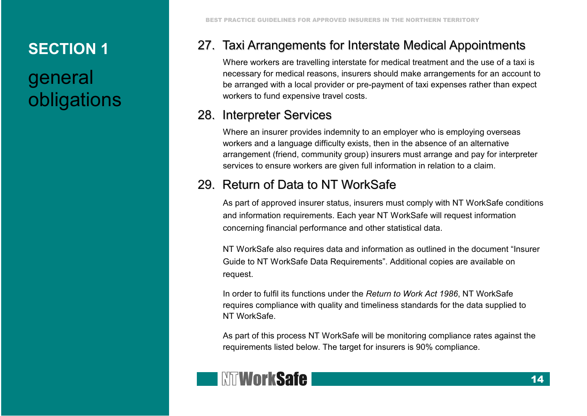# general obligations

#### 27. Taxi Arrangements for Interstate Medical Appointments

<span id="page-17-0"></span>Where workers are travelling interstate for medical treatment and the use of a taxi is necessary for medical reasons, insurers should make arrangements for an account to be arranged with a local provider or pre-payment of taxi expenses rather than expect workers to fund expensive travel costs.

#### <span id="page-17-1"></span>28. Interpreter Services

Where an insurer provides indemnity to an employer who is employing overseas workers and a language difficulty exists, then in the absence of an alternative arrangement (friend, community group) insurers must arrange and pay for interpreter services to ensure workers are given full information in relation to a claim.

### <span id="page-17-2"></span>29. Return of Data to NT WorkSafe

As part of approved insurer status, insurers must comply with NT WorkSafe conditions and information requirements. Each year NT WorkSafe will request information concerning financial performance and other statistical data.

NT WorkSafe also requires data and information as outlined in the document "Insurer Guide to NT WorkSafe Data Requirements". Additional copies are available on request.

In order to fulfil its functions under the *Return to Work Act 1986*, NT WorkSafe requires compliance with quality and timeliness standards for the data supplied to NT WorkSafe.

As part of this process NT WorkSafe will be monitoring compliance rates against the requirements listed below. The target for insurers is 90% compliance.

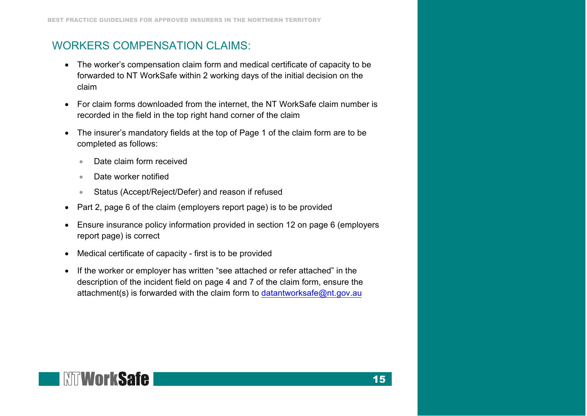#### WORKERS COMPENSATION CLAIMS:

- The worker's compensation claim form and medical certificate of capacity to be forwarded to NT WorkSafe within 2 working days of the initial decision on the claim
- For claim forms downloaded from the internet, the NT WorkSafe claim number is recorded in the field in the top right hand corner of the claim
- The insurer's mandatory fields at the top of Page 1 of the claim form are to be completed as follows:
	- Date claim form received
	- Date worker notified
	- Status (Accept/Reject/Defer) and reason if refused
- Part 2, page 6 of the claim (employers report page) is to be provided
- Ensure insurance policy information provided in section 12 on page 6 (employers report page) is correct
- Medical certificate of capacity first is to be provided
- If the worker or employer has written "see attached or refer attached" in the description of the incident field on page 4 and 7 of the claim [form, ensure the](mailto:datantworksafe@nt.gov.au) attachment(s) is forwarded with the claim form to datantworksafe@nt.gov.au

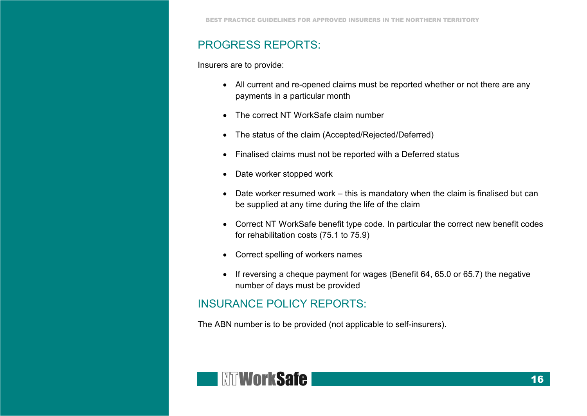#### PROGRESS REPORTS:

Insurers are to provide:

- All current and re-opened claims must be reported whether or not there are any payments in a particular month
- The correct NT WorkSafe claim number
- The status of the claim (Accepted/Rejected/Deferred)
- Finalised claims must not be reported with a Deferred status
- Date worker stopped work
- Date worker resumed work this is mandatory when the claim is finalised but can be supplied at any time during the life of the claim
- Correct NT WorkSafe benefit type code. In particular the correct new benefit codes for rehabilitation costs (75.1 to 75.9)
- Correct spelling of workers names
- If reversing a cheque payment for wages (Benefit 64, 65.0 or 65.7) the negative number of days must be provided

#### INSURANCE POLICY REPORTS:

The ABN number is to be provided (not applicable to self-insurers).